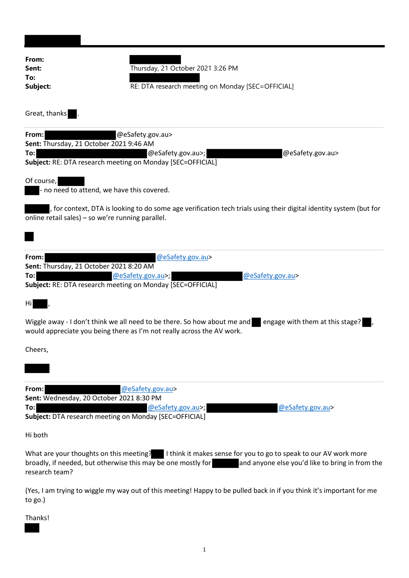| From:<br>Sent:<br>To:<br>Subject:                                                                                                                                                     | Thursday, 21 October 2021 3:26 PM<br>RE: DTA research meeting on Monday [SEC=OFFICIAL]                                                                         |
|---------------------------------------------------------------------------------------------------------------------------------------------------------------------------------------|----------------------------------------------------------------------------------------------------------------------------------------------------------------|
| Great, thanks                                                                                                                                                                         |                                                                                                                                                                |
| From:<br>Sent: Thursday, 21 October 2021 9:46 AM<br>To:<br>Subject: RE: DTA research meeting on Monday [SEC=OFFICIAL]                                                                 | @eSafety.gov.au><br>@eSafety.gov.au><br>@eSafety.gov.au>;                                                                                                      |
| Of course,<br>- no need to attend, we have this covered.                                                                                                                              |                                                                                                                                                                |
| , for context, DTA is looking to do some age verification tech trials using their digital identity system (but for<br>online retail sales) - so we're running parallel.               |                                                                                                                                                                |
| From:<br>Sent: Thursday, 21 October 2021 8:20 AM<br>To:<br>Subject: RE: DTA research meeting on Monday [SEC=OFFICIAL]                                                                 | @eSafety.gov.au><br>@eSafety.gov.au>;<br>@eSafety.gov.au>                                                                                                      |
| Hil                                                                                                                                                                                   |                                                                                                                                                                |
| Wiggle away - I don't think we all need to be there. So how about me and<br>engage with them at this stage?<br>would appreciate you being there as I'm not really across the AV work. |                                                                                                                                                                |
| Cheers,                                                                                                                                                                               |                                                                                                                                                                |
|                                                                                                                                                                                       |                                                                                                                                                                |
| From:<br>Sent: Wednesday, 20 October 2021 8:30 PM<br>To:<br>Subject: DTA research meeting on Monday [SEC=OFFICIAL]                                                                    | @eSafety.gov.au><br>@eSafety.gov.au><br>@eSafety.gov.au>;                                                                                                      |
| Hi both                                                                                                                                                                               |                                                                                                                                                                |
| broadly, if needed, but otherwise this may be one mostly for<br>research team?                                                                                                        | What are your thoughts on this meeting?   I think it makes sense for you to go to speak to our AV work more<br>and anyone else you'd like to bring in from the |
| to $go.$ )                                                                                                                                                                            | (Yes, I am trying to wiggle my way out of this meeting! Happy to be pulled back in if you think it's important for me                                          |
| Thanks!                                                                                                                                                                               |                                                                                                                                                                |